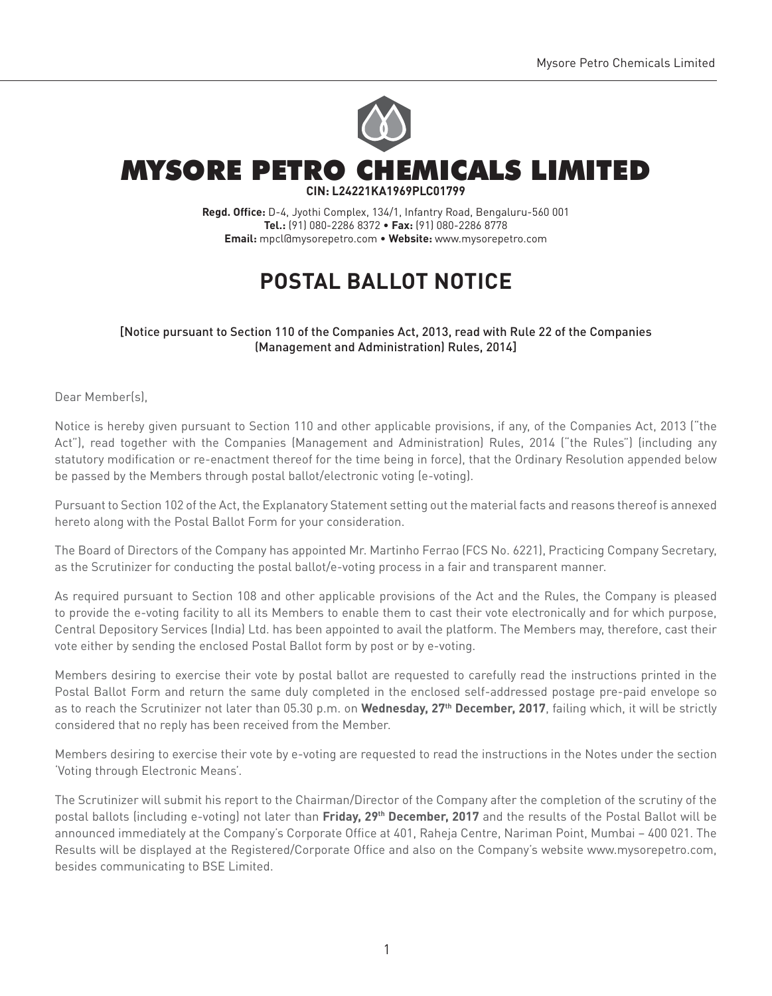

## MYSORE PETRO CHEMICALS LIMITED **CIN: L24221KA1969PLC01799**

**Regd. Office:** D-4, Jyothi Complex, 134/1, Infantry Road, Bengaluru-560 001 **Tel.:** (91) 080-2286 8372 • **Fax:** (91) 080-2286 8778 **Email:** mpcl@mysorepetro.com • **Website:** www.mysorepetro.com

# **Postal Ballot Notice**

## [Notice pursuant to Section 110 of the Companies Act, 2013, read with Rule 22 of the Companies (Management and Administration) Rules, 2014]

Dear Member(s),

Notice is hereby given pursuant to Section 110 and other applicable provisions, if any, of the Companies Act, 2013 ("the Act"), read together with the Companies (Management and Administration) Rules, 2014 ("the Rules") (including any statutory modification or re-enactment thereof for the time being in force), that the Ordinary Resolution appended below be passed by the Members through postal ballot/electronic voting (e-voting).

Pursuant to Section 102 of the Act, the Explanatory Statement setting out the material facts and reasons thereof is annexed hereto along with the Postal Ballot Form for your consideration.

The Board of Directors of the Company has appointed Mr. Martinho Ferrao (FCS No. 6221), Practicing Company Secretary, as the Scrutinizer for conducting the postal ballot/e-voting process in a fair and transparent manner.

As required pursuant to Section 108 and other applicable provisions of the Act and the Rules, the Company is pleased to provide the e-voting facility to all its Members to enable them to cast their vote electronically and for which purpose, Central Depository Services (India) Ltd. has been appointed to avail the platform. The Members may, therefore, cast their vote either by sending the enclosed Postal Ballot form by post or by e-voting.

Members desiring to exercise their vote by postal ballot are requested to carefully read the instructions printed in the Postal Ballot Form and return the same duly completed in the enclosed self-addressed postage pre-paid envelope so as to reach the Scrutinizer not later than 05.30 p.m. on **Wednesday, 27th December, 2017**, failing which, it will be strictly considered that no reply has been received from the Member.

Members desiring to exercise their vote by e-voting are requested to read the instructions in the Notes under the section 'Voting through Electronic Means'.

The Scrutinizer will submit his report to the Chairman/Director of the Company after the completion of the scrutiny of the postal ballots (including e-voting) not later than **Friday, 29th December, 2017** and the results of the Postal Ballot will be announced immediately at the Company's Corporate Office at 401, Raheja Centre, Nariman Point, Mumbai – 400 021. The Results will be displayed at the Registered/Corporate Office and also on the Company's website www.mysorepetro.com, besides communicating to BSE Limited.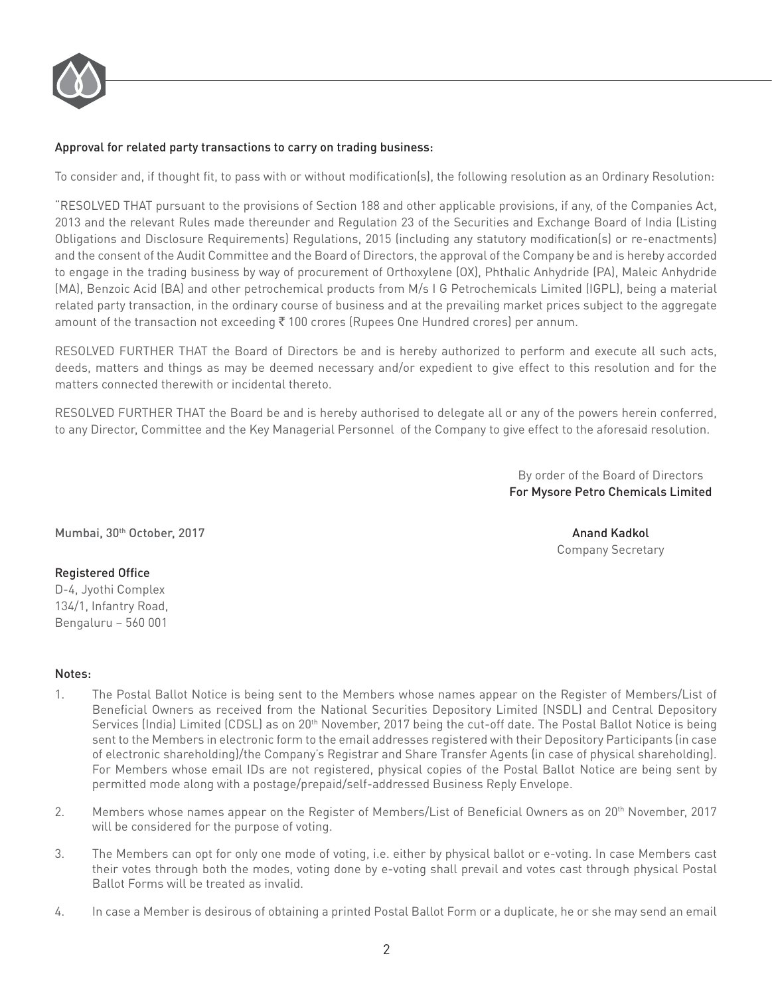

## Approval for related party transactions to carry on trading business:

To consider and, if thought fit, to pass with or without modification(s), the following resolution as an Ordinary Resolution:

"RESOLVED THAT pursuant to the provisions of Section 188 and other applicable provisions, if any, of the Companies Act, 2013 and the relevant Rules made thereunder and Regulation 23 of the Securities and Exchange Board of India (Listing Obligations and Disclosure Requirements) Regulations, 2015 (including any statutory modification(s) or re-enactments) and the consent of the Audit Committee and the Board of Directors, the approval of the Company be and is hereby accorded to engage in the trading business by way of procurement of Orthoxylene (OX), Phthalic Anhydride (PA), Maleic Anhydride (MA), Benzoic Acid (BA) and other petrochemical products from M/s I G Petrochemicals Limited (IGPL), being a material related party transaction, in the ordinary course of business and at the prevailing market prices subject to the aggregate amount of the transaction not exceeding  $\bar{z}$  100 crores (Rupees One Hundred crores) per annum.

RESOLVED FURTHER THAT the Board of Directors be and is hereby authorized to perform and execute all such acts, deeds, matters and things as may be deemed necessary and/or expedient to give effect to this resolution and for the matters connected therewith or incidental thereto.

RESOLVED FURTHER THAT the Board be and is hereby authorised to delegate all or any of the powers herein conferred, to any Director, Committee and the Key Managerial Personnel of the Company to give effect to the aforesaid resolution.

> By order of the Board of Directors For Mysore Petro Chemicals Limited

Mumbai, 30th October, 2017 Anand Kadkol

## Registered Office

D-4, Jyothi Complex 134/1, Infantry Road, Bengaluru – 560 001

## Notes:

- 1. The Postal Ballot Notice is being sent to the Members whose names appear on the Register of Members/List of Beneficial Owners as received from the National Securities Depository Limited (NSDL) and Central Depository Services (India) Limited (CDSL) as on 20<sup>th</sup> November, 2017 being the cut-off date. The Postal Ballot Notice is being sent to the Members in electronic form to the email addresses registered with their Depository Participants (in case of electronic shareholding)/the Company's Registrar and Share Transfer Agents (in case of physical shareholding). For Members whose email IDs are not registered, physical copies of the Postal Ballot Notice are being sent by permitted mode along with a postage/prepaid/self-addressed Business Reply Envelope.
- 2. Members whose names appear on the Register of Members/List of Beneficial Owners as on 20th November, 2017 will be considered for the purpose of voting.
- 3. The Members can opt for only one mode of voting, i.e. either by physical ballot or e-voting. In case Members cast their votes through both the modes, voting done by e-voting shall prevail and votes cast through physical Postal Ballot Forms will be treated as invalid.
- 4. In case a Member is desirous of obtaining a printed Postal Ballot Form or a duplicate, he or she may send an email

## Company Secretary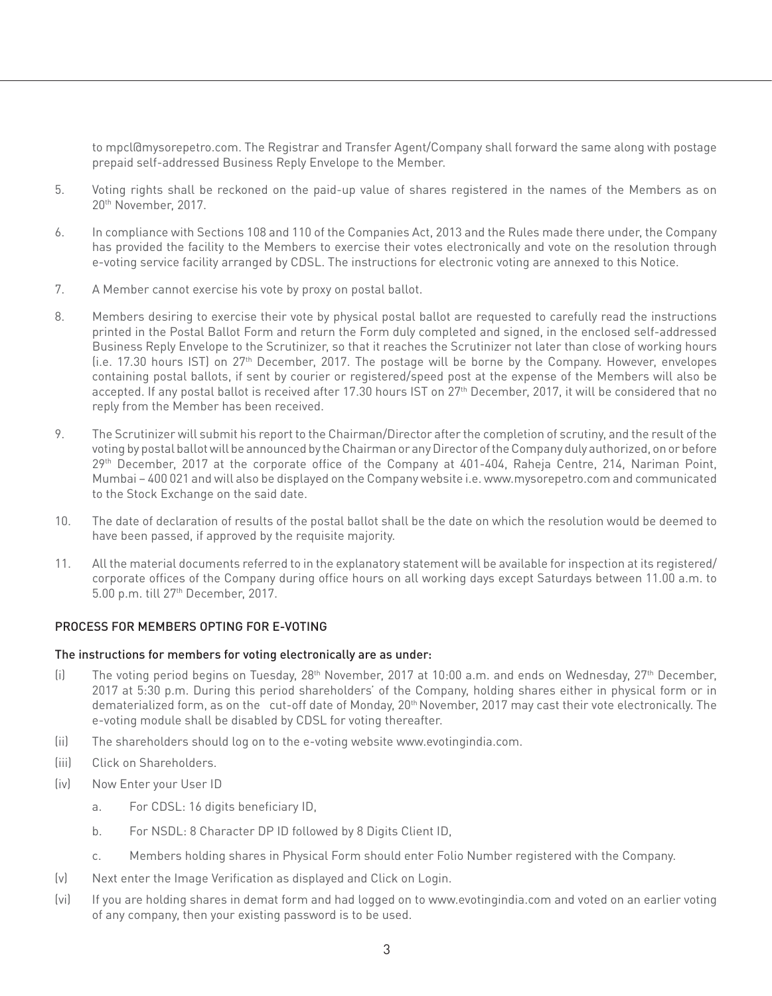to mpcl@mysorepetro.com. The Registrar and Transfer Agent/Company shall forward the same along with postage prepaid self-addressed Business Reply Envelope to the Member.

- 5. Voting rights shall be reckoned on the paid-up value of shares registered in the names of the Members as on 20th November, 2017.
- 6. In compliance with Sections 108 and 110 of the Companies Act, 2013 and the Rules made there under, the Company has provided the facility to the Members to exercise their votes electronically and vote on the resolution through e-voting service facility arranged by CDSL. The instructions for electronic voting are annexed to this Notice.
- 7. A Member cannot exercise his vote by proxy on postal ballot.
- 8. Members desiring to exercise their vote by physical postal ballot are requested to carefully read the instructions printed in the Postal Ballot Form and return the Form duly completed and signed, in the enclosed self-addressed Business Reply Envelope to the Scrutinizer, so that it reaches the Scrutinizer not later than close of working hours (i.e. 17.30 hours IST) on 27th December, 2017. The postage will be borne by the Company. However, envelopes containing postal ballots, if sent by courier or registered/speed post at the expense of the Members will also be accepted. If any postal ballot is received after 17.30 hours IST on 27<sup>th</sup> December, 2017, it will be considered that no reply from the Member has been received.
- 9. The Scrutinizer will submit his report to the Chairman/Director after the completion of scrutiny, and the result of the voting by postal ballot will be announced by the Chairman or any Director of the Company duly authorized, on or before 29<sup>th</sup> December, 2017 at the corporate office of the Company at 401-404, Raheja Centre, 214, Nariman Point, Mumbai – 400 021 and will also be displayed on the Company website i.e. www.mysorepetro.com and communicated to the Stock Exchange on the said date.
- 10. The date of declaration of results of the postal ballot shall be the date on which the resolution would be deemed to have been passed, if approved by the requisite majority.
- 11. All the material documents referred to in the explanatory statement will be available for inspection at its registered/ corporate offices of the Company during office hours on all working days except Saturdays between 11.00 a.m. to 5.00 p.m. till 27th December, 2017.

## PROCESS FOR MEMBERS OPTING FOR E-VOTING

#### The instructions for members for voting electronically are as under:

- (i) The voting period begins on Tuesday,  $28<sup>th</sup>$  November, 2017 at 10:00 a.m. and ends on Wednesday,  $27<sup>th</sup>$  December, 2017 at 5:30 p.m. During this period shareholders' of the Company, holding shares either in physical form or in dematerialized form, as on the cut-off date of Monday, 20<sup>th</sup> November, 2017 may cast their vote electronically. The e-voting module shall be disabled by CDSL for voting thereafter.
- (ii) The shareholders should log on to the e-voting website www.evotingindia.com.
- (iii) Click on Shareholders.
- (iv) Now Enter your User ID
	- a. For CDSL: 16 digits beneficiary ID,
	- b. For NSDL: 8 Character DP ID followed by 8 Digits Client ID,
	- c. Members holding shares in Physical Form should enter Folio Number registered with the Company.
- (v) Next enter the Image Verification as displayed and Click on Login.
- (vi) If you are holding shares in demat form and had logged on to www.evotingindia.com and voted on an earlier voting of any company, then your existing password is to be used.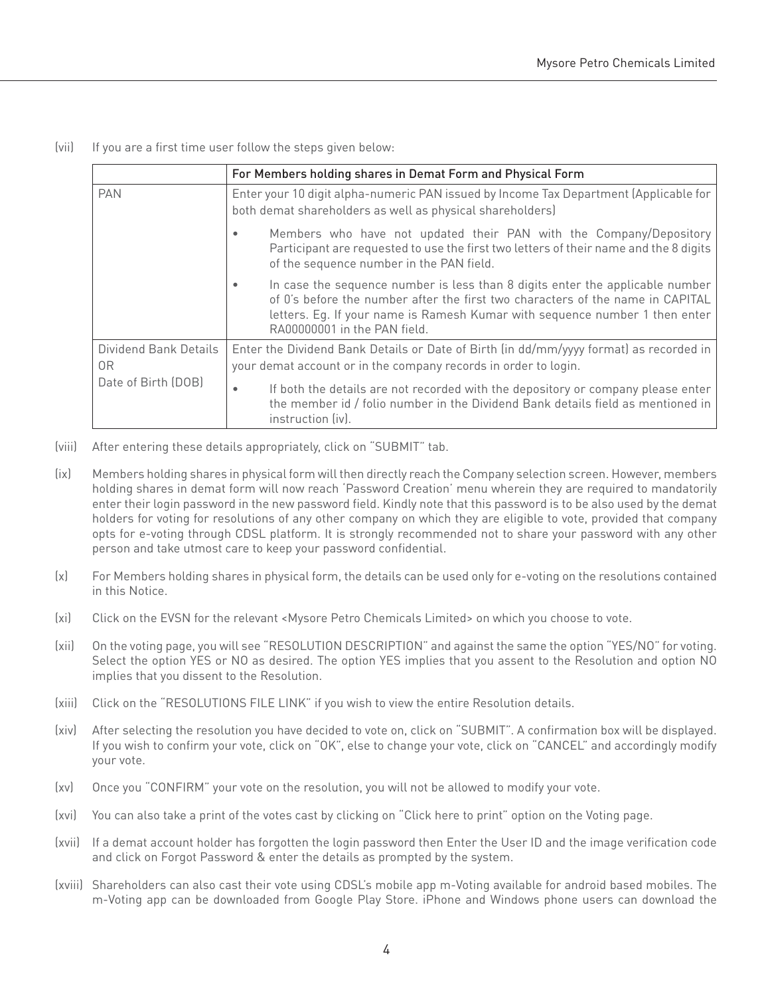(vii) If you are a first time user follow the steps given below:

|                             | For Members holding shares in Demat Form and Physical Form                                                                                                                                                                                                                          |  |
|-----------------------------|-------------------------------------------------------------------------------------------------------------------------------------------------------------------------------------------------------------------------------------------------------------------------------------|--|
| <b>PAN</b>                  | Enter your 10 digit alpha-numeric PAN issued by Income Tax Department (Applicable for<br>both demat shareholders as well as physical shareholders)                                                                                                                                  |  |
|                             | Members who have not updated their PAN with the Company/Depository<br>Participant are requested to use the first two letters of their name and the 8 digits<br>of the sequence number in the PAN field.                                                                             |  |
|                             | In case the sequence number is less than 8 digits enter the applicable number<br>٠<br>of 0's before the number after the first two characters of the name in CAPITAL<br>letters. Eq. If your name is Ramesh Kumar with sequence number 1 then enter<br>RA00000001 in the PAN field. |  |
| Dividend Bank Details<br>0R | Enter the Dividend Bank Details or Date of Birth (in dd/mm/yyyy format) as recorded in<br>your demat account or in the company records in order to login.                                                                                                                           |  |
| Date of Birth (DOB)         | If both the details are not recorded with the depository or company please enter<br>the member id / folio number in the Dividend Bank details field as mentioned in<br>instruction (iv).                                                                                            |  |

- (viii) After entering these details appropriately, click on "SUBMIT" tab.
- (ix) Members holding shares in physical form will then directly reach the Company selection screen. However, members holding shares in demat form will now reach 'Password Creation' menu wherein they are required to mandatorily enter their login password in the new password field. Kindly note that this password is to be also used by the demat holders for voting for resolutions of any other company on which they are eligible to vote, provided that company opts for e-voting through CDSL platform. It is strongly recommended not to share your password with any other person and take utmost care to keep your password confidential.
- (x) For Members holding shares in physical form, the details can be used only for e-voting on the resolutions contained in this Notice.
- (xi) Click on the EVSN for the relevant <Mysore Petro Chemicals Limited> on which you choose to vote.
- (xii) On the voting page, you will see "RESOLUTION DESCRIPTION" and against the same the option "YES/NO" for voting. Select the option YES or NO as desired. The option YES implies that you assent to the Resolution and option NO implies that you dissent to the Resolution.
- (xiii) Click on the "RESOLUTIONS FILE LINK" if you wish to view the entire Resolution details.
- (xiv) After selecting the resolution you have decided to vote on, click on "SUBMIT". A confirmation box will be displayed. If you wish to confirm your vote, click on "OK", else to change your vote, click on "CANCEL" and accordingly modify your vote.
- (xv) Once you "CONFIRM" your vote on the resolution, you will not be allowed to modify your vote.
- (xvi) You can also take a print of the votes cast by clicking on "Click here to print" option on the Voting page.
- (xvii) If a demat account holder has forgotten the login password then Enter the User ID and the image verification code and click on Forgot Password & enter the details as prompted by the system.
- (xviii) Shareholders can also cast their vote using CDSL's mobile app m-Voting available for android based mobiles. The m-Voting app can be downloaded from Google Play Store. iPhone and Windows phone users can download the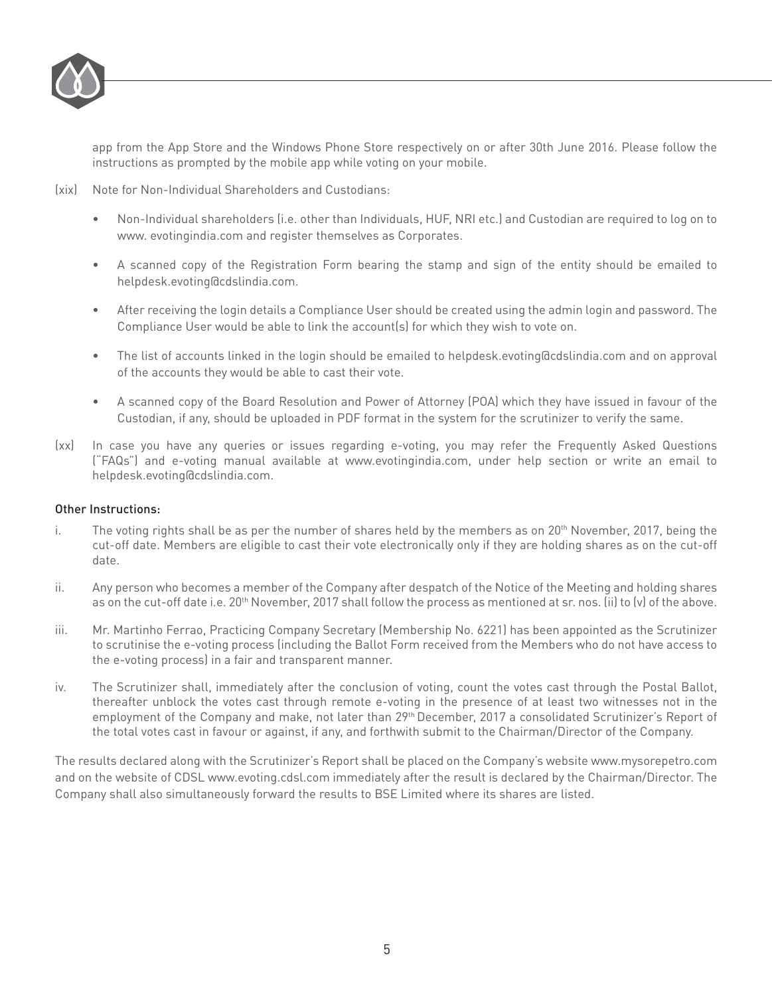

app from the App Store and the Windows Phone Store respectively on or after 30th June 2016. Please follow the instructions as prompted by the mobile app while voting on your mobile.

(xix) Note for Non-Individual Shareholders and Custodians:

- Non-Individual shareholders (i.e. other than Individuals, HUF, NRI etc.) and Custodian are required to log on to www. evotingindia.com and register themselves as Corporates.
- A scanned copy of the Registration Form bearing the stamp and sign of the entity should be emailed to helpdesk.evoting@cdslindia.com.
- After receiving the login details a Compliance User should be created using the admin login and password. The Compliance User would be able to link the account(s) for which they wish to vote on.
- The list of accounts linked in the login should be emailed to helpdesk.evoting@cdslindia.com and on approval of the accounts they would be able to cast their vote.
- A scanned copy of the Board Resolution and Power of Attorney (POA) which they have issued in favour of the Custodian, if any, should be uploaded in PDF format in the system for the scrutinizer to verify the same.
- (xx) In case you have any queries or issues regarding e-voting, you may refer the Frequently Asked Questions ("FAQs") and e-voting manual available at www.evotingindia.com, under help section or write an email to helpdesk.evoting@cdslindia.com.

### Other Instructions:

- i. The voting rights shall be as per the number of shares held by the members as on  $20<sup>th</sup>$  November, 2017, being the cut-off date. Members are eligible to cast their vote electronically only if they are holding shares as on the cut-off date.
- ii. Any person who becomes a member of the Company after despatch of the Notice of the Meeting and holding shares as on the cut-off date i.e. 20<sup>th</sup> November, 2017 shall follow the process as mentioned at sr. nos. (ii) to (v) of the above.
- iii. Mr. Martinho Ferrao, Practicing Company Secretary (Membership No. 6221) has been appointed as the Scrutinizer to scrutinise the e-voting process (including the Ballot Form received from the Members who do not have access to the e-voting process) in a fair and transparent manner.
- iv. The Scrutinizer shall, immediately after the conclusion of voting, count the votes cast through the Postal Ballot, thereafter unblock the votes cast through remote e-voting in the presence of at least two witnesses not in the employment of the Company and make, not later than 29th December, 2017 a consolidated Scrutinizer's Report of the total votes cast in favour or against, if any, and forthwith submit to the Chairman/Director of the Company.

The results declared along with the Scrutinizer's Report shall be placed on the Company's website www.mysorepetro.com and on the website of CDSL www.evoting.cdsl.com immediately after the result is declared by the Chairman/Director. The Company shall also simultaneously forward the results to BSE Limited where its shares are listed.